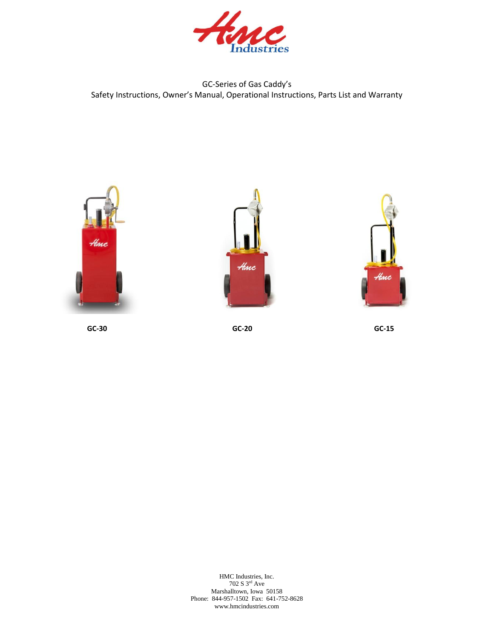

### GC-Series of Gas Caddy's Safety Instructions, Owner's Manual, Operational Instructions, Parts List and Warranty







**GC-30 GC-20 GC-15**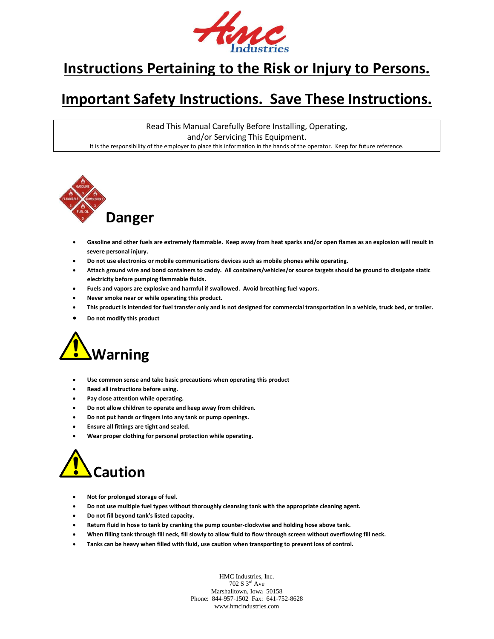

## **Instructions Pertaining to the Risk or Injury to Persons.**

## **Important Safety Instructions. Save These Instructions.**

Read This Manual Carefully Before Installing, Operating, and/or Servicing This Equipment. It is the responsibility of the employer to place this information in the hands of the operator. Keep for future reference.



- **Gasoline and other fuels are extremely flammable. Keep away from heat sparks and/or open flames as an explosion will result in severe personal injury.**
- **Do not use electronics or mobile communications devices such as mobile phones while operating.**
- **Attach ground wire and bond containers to caddy. All containers/vehicles/or source targets should be ground to dissipate static electricity before pumping flammable fluids.**
- **Fuels and vapors are explosive and harmful if swallowed. Avoid breathing fuel vapors.**
- **Never smoke near or while operating this product.**
- **This product is intended for fuel transfer only and is not designed for commercial transportation in a vehicle, truck bed, or trailer.**
- **Do not modify this product**



- **Use common sense and take basic precautions when operating this product**
- **Read all instructions before using.**
- **Pay close attention while operating.**
- **Do not allow children to operate and keep away from children.**
- **Do not put hands or fingers into any tank or pump openings.**
- **Ensure all fittings are tight and sealed.**
- **Wear proper clothing for personal protection while operating.**



- **Not for prolonged storage of fuel.**
- **Do not use multiple fuel types without thoroughly cleansing tank with the appropriate cleaning agent.**
- **Do not fill beyond tank's listed capacity.**
- **Return fluid in hose to tank by cranking the pump counter-clockwise and holding hose above tank.**
- **When filling tank through fill neck, fill slowly to allow fluid to flow through screen without overflowing fill neck.**
- **Tanks can be heavy when filled with fluid, use caution when transporting to prevent loss of control.**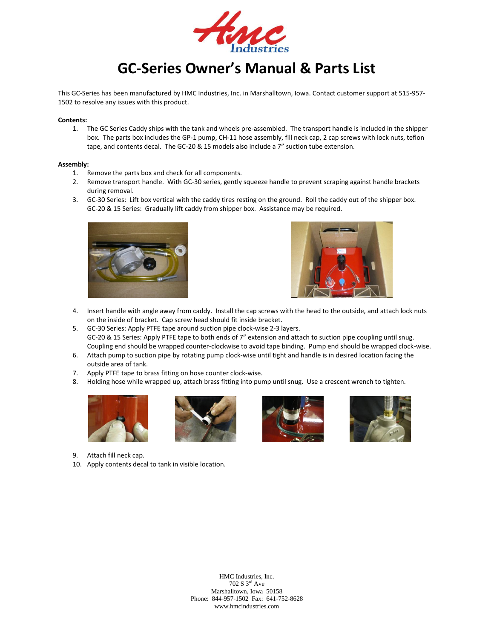

# **GC-Series Owner's Manual & Parts List**

This GC-Series has been manufactured by HMC Industries, Inc. in Marshalltown, Iowa. Contact customer support at 515-957- 1502 to resolve any issues with this product.

#### **Contents:**

1. The GC Series Caddy ships with the tank and wheels pre-assembled. The transport handle is included in the shipper box. The parts box includes the GP-1 pump, CH-11 hose assembly, fill neck cap, 2 cap screws with lock nuts, teflon tape, and contents decal. The GC-20 & 15 models also include a 7" suction tube extension.

#### **Assembly:**

- 1. Remove the parts box and check for all components.
- 2. Remove transport handle. With GC-30 series, gently squeeze handle to prevent scraping against handle brackets during removal.
- 3. GC-30 Series: Lift box vertical with the caddy tires resting on the ground. Roll the caddy out of the shipper box. GC-20 & 15 Series: Gradually lift caddy from shipper box. Assistance may be required.





- 4. Insert handle with angle away from caddy. Install the cap screws with the head to the outside, and attach lock nuts on the inside of bracket. Cap screw head should fit inside bracket.
- 5. GC-30 Series: Apply PTFE tape around suction pipe clock-wise 2-3 layers. GC-20 & 15 Series: Apply PTFE tape to both ends of 7" extension and attach to suction pipe coupling until snug. Coupling end should be wrapped counter-clockwise to avoid tape binding. Pump end should be wrapped clock-wise.
- 6. Attach pump to suction pipe by rotating pump clock-wise until tight and handle is in desired location facing the outside area of tank.
- 7. Apply PTFE tape to brass fitting on hose counter clock-wise.
- 8. Holding hose while wrapped up, attach brass fitting into pump until snug. Use a crescent wrench to tighten.









- 9. Attach fill neck cap.
- 10. Apply contents decal to tank in visible location.